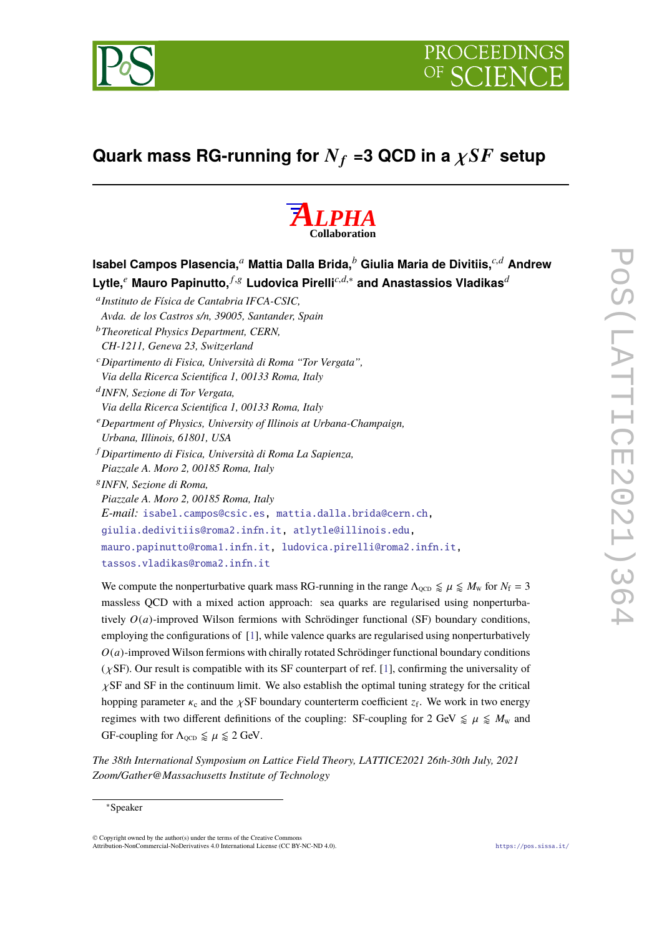



# **Quark mass RG-running for**  $N_f$  =3 QCD in a  $\chi SF$  setup



| Isabel Campos Plasencia, $\phantom{a}^a$ Mattia Dalla Brida, $\phantom{a}^b$ Giulia Maria de Divitiis, $\phantom{a}^{c,d}$ Andrew |  |
|-----------------------------------------------------------------------------------------------------------------------------------|--|
| Lytle, $^e$ Mauro Papinutto, $^{f,g}$ Ludovica Pirelli $^{c,d,\ast}$ and Anastassios Vladikas $^d$                                |  |
| <sup>a</sup> Instituto de Física de Cantabria IFCA-CSIC,                                                                          |  |
| Avda. de los Castros s/n, 39005, Santander, Spain                                                                                 |  |
| <sup>b</sup> Theoretical Physics Department, CERN,                                                                                |  |
| CH-1211, Geneva 23, Switzerland                                                                                                   |  |
| <sup>c</sup> Dipartimento di Fisica, Università di Roma "Tor Vergata",                                                            |  |
| Via della Ricerca Scientifica 1, 00133 Roma, Italy                                                                                |  |
| <sup>d</sup> INFN, Sezione di Tor Vergata,                                                                                        |  |
| Via della Ricerca Scientifica 1, 00133 Roma, Italy                                                                                |  |
| $e^e$ Department of Physics, University of Illinois at Urbana-Champaign,                                                          |  |
| Urbana, Illinois, 61801, USA                                                                                                      |  |
| <sup>f</sup> Dipartimento di Fisica, Università di Roma La Sapienza,                                                              |  |
| Piazzale A. Moro 2, 00185 Roma, Italy                                                                                             |  |
| <sup>8</sup> INFN, Sezione di Roma,                                                                                               |  |
| Piazzale A. Moro 2, 00185 Roma, Italy                                                                                             |  |
| E-mail: isabel.campos@csic.es, mattia.dalla.brida@cern.ch,                                                                        |  |
| giulia.dedivitiis@roma2.infn.it, atlytle@illinois.edu,                                                                            |  |
| mauro.papinutto@roma1.infn.it, ludovica.pirelli@roma2.infn.it,                                                                    |  |
| tassos.vladikas@roma2.infn.it                                                                                                     |  |

We compute the nonperturbative quark mass RG-running in the range  $\Lambda_{\text{QCD}} \leq \mu \leq M_{\text{W}}$  for  $N_{\text{f}} = 3$ massless QCD with a mixed action approach: sea quarks are regularised using nonperturbatively *O*(*a*)-improved Wilson fermions with Schrödinger functional (SF) boundary conditions, employing the configurations of [\[1\]](#page-6-0), while valence quarks are regularised using nonperturbatively  $O(a)$ -improved Wilson fermions with chirally rotated Schrödinger functional boundary conditions  $(\chi$ SF). Our result is compatible with its SF counterpart of ref. [\[1\]](#page-6-0), confirming the universality of  $\chi$ SF and SF in the continuum limit. We also establish the optimal tuning strategy for the critical hopping parameter  $\kappa_c$  and the  $\chi$ SF boundary counterterm coefficient  $z_f$ . We work in two energy regimes with two different definitions of the coupling: SF-coupling for 2 GeV  $\le \mu \le M_w$  and GF-coupling for  $\Lambda_{\text{OCD}} \leq \mu \leq 2$  GeV.

*The 38th International Symposium on Lattice Field Theory, LATTICE2021 26th-30th July, 2021 Zoom/Gather@Massachusetts Institute of Technology*

© Copyright owned by the author(s) under the terms of the Creative Common Attribution-NonCommercial-NoDerivatives 4.0 International License (CC BY-NC-ND 4.0). <https://pos.sissa.it/>

<sup>∗</sup>Speaker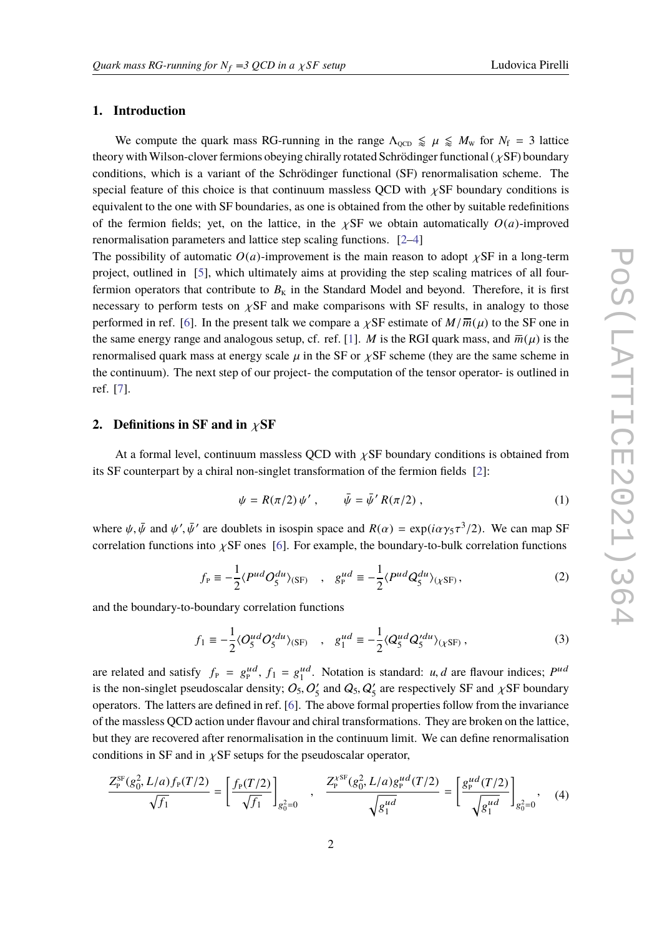## **1. Introduction**

We compute the quark mass RG-running in the range  $\Lambda_{\text{QCD}} \leq \mu \leq M_{\text{W}}$  for  $N_{\text{f}} = 3$  lattice theory with Wilson-clover fermions obeying chirally rotated Schrödinger functional ( $\chi$ SF) boundary conditions, which is a variant of the Schrödinger functional (SF) renormalisation scheme. The special feature of this choice is that continuum massless OCD with  $\chi$ SF boundary conditions is equivalent to the one with SF boundaries, as one is obtained from the other by suitable redefinitions of the fermion fields; yet, on the lattice, in the  $\chi$ SF we obtain automatically  $O(a)$ -improved renormalisation parameters and lattice step scaling functions. [\[2–](#page-6-1)[4\]](#page-6-2)

The possibility of automatic  $O(a)$ -improvement is the main reason to adopt  $\chi$ SF in a long-term project, outlined in [\[5\]](#page-6-3), which ultimately aims at providing the step scaling matrices of all fourfermion operators that contribute to  $B<sub>K</sub>$  in the Standard Model and beyond. Therefore, it is first necessary to perform tests on  $\chi$ SF and make comparisons with SF results, in analogy to those performed in ref. [\[6\]](#page-6-4). In the present talk we compare a  $\chi$ SF estimate of  $M/\overline{m}(u)$  to the SF one in the same energy range and analogous setup, cf. ref. [\[1\]](#page-6-0). *M* is the RGI quark mass, and  $\overline{m}(\mu)$  is the renormalised quark mass at energy scale  $\mu$  in the SF or  $\chi$ SF scheme (they are the same scheme in the continuum). The next step of our project- the computation of the tensor operator- is outlined in ref. [\[7\]](#page-6-5).

## **2. Definitions in SF and in** χ**SF**

At a formal level, continuum massless QCD with  $\chi$ SF boundary conditions is obtained from its SF counterpart by a chiral non-singlet transformation of the fermion fields [\[2\]](#page-6-1):

$$
\psi = R(\pi/2) \psi', \qquad \bar{\psi} = \bar{\psi}' R(\pi/2) , \qquad (1)
$$

where  $\psi$ ,  $\bar{\psi}$  and  $\psi'$ ,  $\bar{\psi}'$  are doublets in isospin space and  $R(\alpha) = \exp(i\alpha \gamma_5 \tau^3/2)$ . We can map SF correlation functions into  $\chi$ SF ones [\[6\]](#page-6-4). For example, the boundary-to-bulk correlation functions

<span id="page-1-0"></span>
$$
f_{\rm P} \equiv -\frac{1}{2} \langle P^{ud} O_5^{du} \rangle_{\rm (SF)} \quad , \quad g_{\rm P}^{ud} \equiv -\frac{1}{2} \langle P^{ud} Q_5^{du} \rangle_{\rm (XSF)} \,, \tag{2}
$$

and the boundary-to-boundary correlation functions

$$
f_1 \equiv -\frac{1}{2} \langle O_5^{ud} O_5^{\prime du} \rangle_{\text{(SF)}} \quad , \quad g_1^{ud} \equiv -\frac{1}{2} \langle Q_5^{ud} Q_5^{\prime du} \rangle_{\text{(XSF)}} \,, \tag{3}
$$

are related and satisfy  $f_P = g_P^{ud}, f_1 = g_1^{ud}$  $\frac{1}{2}$ . Notation is standard: *u*, *d* are flavour indices; *P<sup>ud</sup>*  $\frac{1}{2}$  *O'* and *O'* are respectively. SE and  $\frac{1}{2}$  SE houndary is the non-singlet pseudoscalar density;  $O_5$ ,  $O'_5$ <br>operators. The latters are defined in ref. [6]. The  $Q'_5$  and  $Q_5$ ,  $Q'_5$  $\frac{1}{5}$  are respectively SF and  $\chi$ SF boundary operators. The latters are defined in ref. [\[6\]](#page-6-4). The above formal properties follow from the invariance of the massless QCD action under flavour and chiral transformations. They are broken on the lattice, but they are recovered after renormalisation in the continuum limit. We can define renormalisation conditions in SF and in  $\chi$ SF setups for the pseudoscalar operator,

$$
\frac{Z_{\rm P}^{\rm SF}(g_0^2, L/a)f_{\rm P}(T/2)}{\sqrt{f_1}} = \left[\frac{f_{\rm P}(T/2)}{\sqrt{f_1}}\right]_{g_0^2=0} , \quad \frac{Z_{\rm P}^{\rm XSF}(g_0^2, L/a)g_{\rm P}^{\rm ud}(T/2)}{\sqrt{g_1^{\rm ud}}} = \left[\frac{g_{\rm P}^{\rm ud}(T/2)}{\sqrt{g_1^{\rm ud}}}\right]_{g_0^2=0} , \quad (4)
$$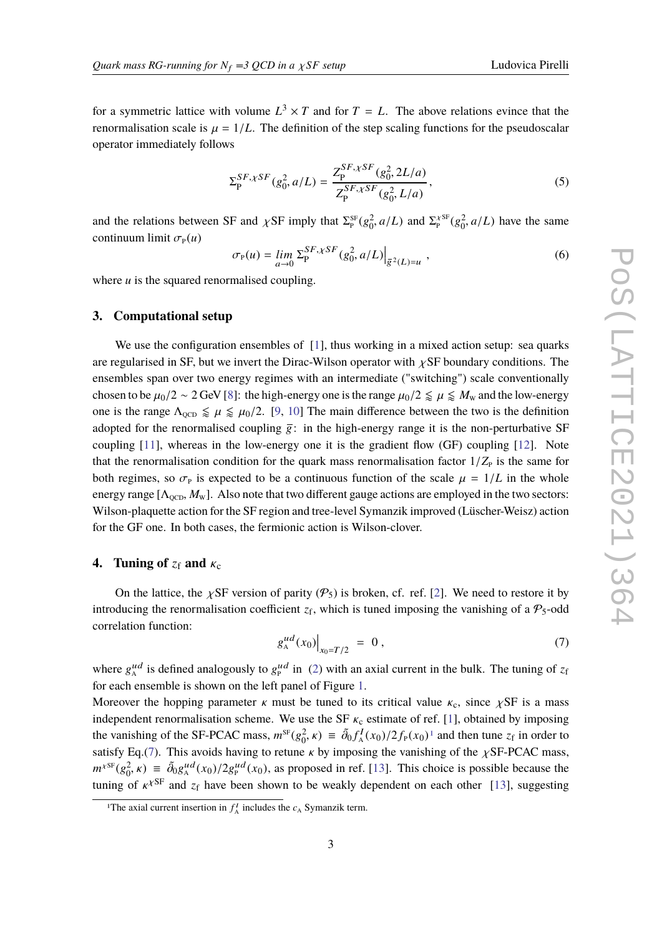for a symmetric lattice with volume  $L^3 \times T$  and for  $T = L$ . The above relations evince that the renormalisation scale is  $\mu = 1/L$ . The definition of the step scaling functions for the pseudoscalar operator immediately follows

<span id="page-2-2"></span>
$$
\Sigma_{\mathbf{p}}^{SF,\chi SF}(g_0^2, a/L) = \frac{Z_{\mathbf{p}}^{SF,\chi SF}(g_0^2, 2L/a)}{Z_{\mathbf{p}}^{SF,\chi SF}(g_0^2, L/a)},\tag{5}
$$

and the relations between SF and  $\chi$ SF imply that  $\Sigma_{\rm P}^{\rm SF}(g_0^2, a/L)$  and  $\Sigma_{\rm P}^{\rm xSF}(g_0^2, a/L)$  have the same continuum limit  $\sigma_{\rm p}(u)$ 

$$
\sigma_{P}(u) = \lim_{a \to 0} \sum_{P}^{SF, \chi SF} (g_0^2, a/L) \Big|_{\bar{g}^2(L) = u} \,, \tag{6}
$$

where *u* is the squared renormalised coupling.

#### **3. Computational setup**

We use the configuration ensembles of [\[1\]](#page-6-0), thus working in a mixed action setup: sea quarks are regularised in SF, but we invert the Dirac-Wilson operator with  $\chi$ SF boundary conditions. The ensembles span over two energy regimes with an intermediate ("switching") scale conventionally chosen to be  $\mu_0/2 \sim 2$  GeV [\[8\]](#page-6-6): the high-energy one is the range  $\mu_0/2 \leq \mu \leq M_w$  and the low-energy one is the range  $\Lambda_{\text{QCD}} \leq \mu \leq \mu_0/2$ . [\[9,](#page-6-7) [10\]](#page-6-8) The main difference between the two is the definition adopted for the renormalised coupling  $\bar{g}$ : in the high-energy range it is the non-perturbative SF coupling [\[11\]](#page-6-9), whereas in the low-energy one it is the gradient flow (GF) coupling [\[12\]](#page-6-10). Note that the renormalisation condition for the quark mass renormalisation factor  $1/Z_{\rm P}$  is the same for both regimes, so  $\sigma_{\rm p}$  is expected to be a continuous function of the scale  $\mu = 1/L$  in the whole energy range  $[\Lambda_{\text{QCD}}, M_{\text{W}}]$ . Also note that two different gauge actions are employed in the two sectors: Wilson-plaquette action for the SF region and tree-level Symanzik improved (Lüscher-Weisz) action for the GF one. In both cases, the fermionic action is Wilson-clover.

## **4.** Tuning of  $z_f$  and  $\kappa_c$

On the lattice, the  $\chi$ SF version of parity ( $\mathcal{P}_5$ ) is broken, cf. ref. [\[2\]](#page-6-1). We need to restore it by introducing the renormalisation coefficient  $z_f$ , which is tuned imposing the vanishing of a  $P_5$ -odd correlation function:

<span id="page-2-1"></span>
$$
g_A^{ud}(x_0)\Big|_{x_0=T/2} = 0 , \qquad (7)
$$

where  $g_A^{ud}$  is defined analogously to  $g_P^{ud}$  in [\(2\)](#page-1-0) with an axial current in the bulk. The tuning of  $z_f$ for each ensemble is shown on the left panel of Figure [1.](#page-3-0)

Moreover the hopping parameter  $\kappa$  must be tuned to its critical value  $\kappa_c$ , since  $\chi$ SF is a mass independent renormalisation scheme. We use the SF  $\kappa_c$  estimate of ref. [\[1\]](#page-6-0), obtained by imposing the vanishing of the SF-PCAC mass,  $m^{SF}(g_0^2, \kappa) \equiv \tilde{\partial}_0 f_A^I(x_0)/2 f_P(x_0)^T$  and then tune  $z_f$  in order to existing  $\tilde{\partial}_0 f_A^I(x_0)/2 f_P(x_0)^T$  and then tune  $z_f$  in order to satisfy Eq.[\(7\)](#page-2-1). This avoids having to retune  $\kappa$  by imposing the vanishing of the  $\chi$ SF-PCAC mass,  $m^{\gamma s}g_0^2$ ,  $\kappa$ )  $\equiv \tilde{\partial}_0 g_A^{\mu d}(x_0)/2g_p^{\mu d}(x_0)$ , as proposed in ref. [\[13\]](#page-6-11). This choice is possible because the tuning of  $\kappa^{\chi\textrm{SF}}$  and  $z_f$  have been shown to be weakly dependent on each other [\[13\]](#page-6-11), suggesting

<span id="page-2-0"></span><sup>&</sup>lt;sup>1</sup>The axial current insertion in  $f_A^I$  includes the  $c_A$  Symanzik term.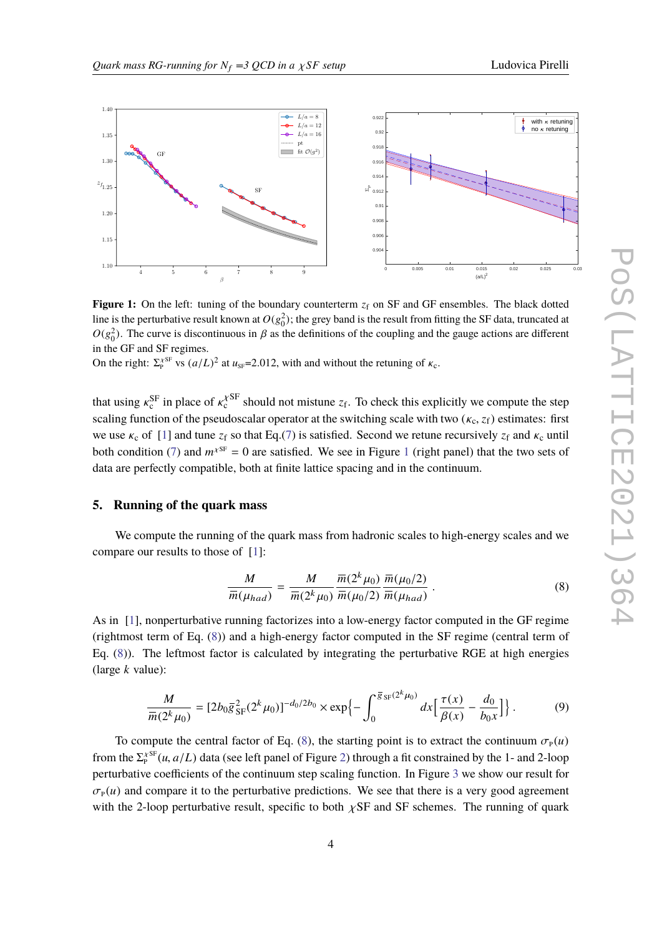<span id="page-3-0"></span>

**Figure 1:** On the left: tuning of the boundary counterterm  $z_f$  on SF and GF ensembles. The black dotted line is the perturbative result known at  $O(g_0^2)$ ; the grey band is the result from fitting the SF data, truncated at  $O(g_0^2)$ . The curve is discontinuous in  $\beta$  as the definitions of the coupling and the gauge actions are different in the GE and SE regimes. in the GF and SF regimes.

On the right:  $\Sigma_p^{X \text{SF}}$  vs  $(a/L)^2$  at  $u_{\text{SF}}$ =2.012, with and without the retuning of  $\kappa_c$ .

that using  $\kappa_c^{\rm SF}$  in place of  $\kappa_c^{\rm YSF}$  should not mistune  $z_f$ . To check this explicitly we compute the step<br>cooling function of the negation graphs are the suitabling each with two  $(u, \tau)$  estimates: function scaling function of the pseudoscalar operator at the switching scale with two ( $\kappa_c$ ,  $z_f$ ) estimates: first we use  $\kappa_c$  of [\[1\]](#page-6-0) and tune  $z_f$  so that Eq.[\(7\)](#page-2-1) is satisfied. Second we retune recursively  $z_f$  and  $\kappa_c$  until both condition [\(7\)](#page-2-1) and  $m^{\chi_{\text{SF}}} = 0$  are satisfied. We see in Figure [1](#page-3-0) (right panel) that the two sets of data are perfectly compatible, both at finite lattice spacing and in the continuum.

#### **5. Running of the quark mass**

We compute the running of the quark mass from hadronic scales to high-energy scales and we compare our results to those of [\[1\]](#page-6-0):

<span id="page-3-1"></span>
$$
\frac{M}{\overline{m}(\mu_{had})} = \frac{M}{\overline{m}(2^k\mu_0)} \frac{\overline{m}(2^k\mu_0)}{\overline{m}(\mu_0/2)} \frac{\overline{m}(\mu_0/2)}{\overline{m}(\mu_{had})} .
$$
\n(8)

As in [\[1\]](#page-6-0), nonperturbative running factorizes into a low-energy factor computed in the GF regime (rightmost term of Eq. [\(8\)](#page-3-1)) and a high-energy factor computed in the SF regime (central term of Eq. [\(8\)](#page-3-1)). The leftmost factor is calculated by integrating the perturbative RGE at high energies (large *k* value):

<span id="page-3-2"></span>
$$
\frac{M}{\overline{m}(2^k\mu_0)} = \left[2b_0\overline{g}_{\rm SF}^2(2^k\mu_0)\right]^{-d_0/2b_0} \times \exp\left\{-\int_0^{\overline{g}_{\rm SF}(2^k\mu_0)} dx \left[\frac{\tau(x)}{\beta(x)} - \frac{d_0}{b_0x}\right]\right\}.
$$
(9)

To compute the central factor of Eq. [\(8\)](#page-3-1), the starting point is to extract the continuum  $\sigma_{\rm p}(u)$ from the  $\Sigma_t^{\text{XSE}}(u, a/L)$  data (see left panel of Figure [2\)](#page-4-0) through a fit constrained by the 1- and 2-loop perturbative coefficients of the continuum step scaling function. In Figure [3](#page-4-1) we show our result for  $\sigma_{\rm P} (u)$  and compare it to the perturbative predictions. We see that there is a very good agreement with the 2-loop perturbative result, specific to both  $\chi$ SF and SF schemes. The running of quark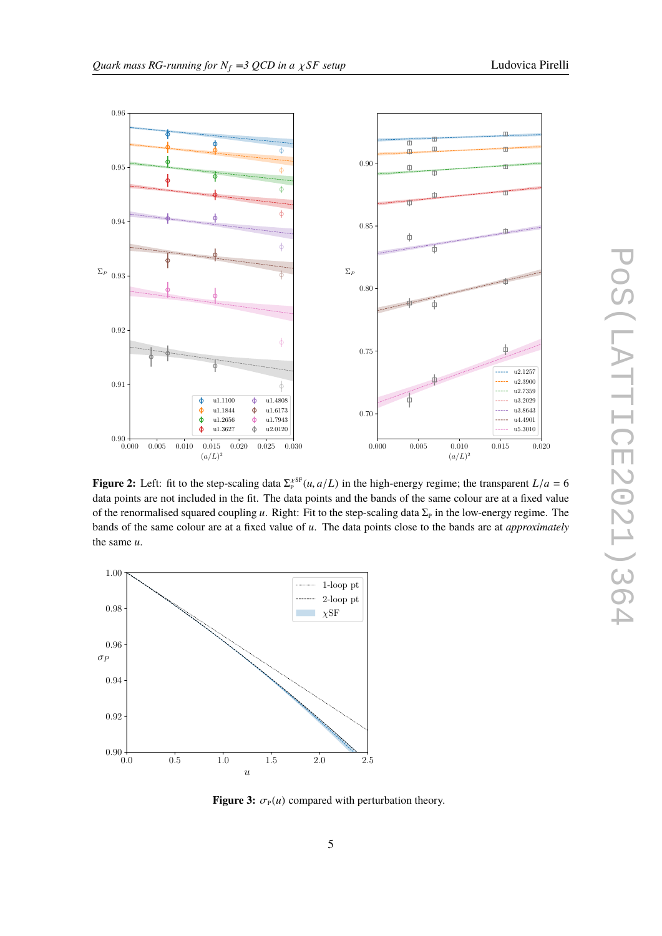<span id="page-4-0"></span>

**Figure 2:** Left: fit to the step-scaling data  $\Sigma_P^{XSE}(u, a/L)$  in the high-energy regime; the transparent  $L/a = 6$  data points are not included in the fit. The data points and the hands of the same soleur are at a fixed val data points are not included in the fit. The data points and the bands of the same colour are at a fixed value of the renormalised squared coupling  $u$ . Right: Fit to the step-scaling data  $\Sigma_p$  in the low-energy regime. The bands of the same colour are at a fixed value of *u*. The data points close to the bands are at *approximately* the same *u*.

<span id="page-4-1"></span>

**Figure 3:**  $\sigma_{P}(u)$  compared with perturbation theory.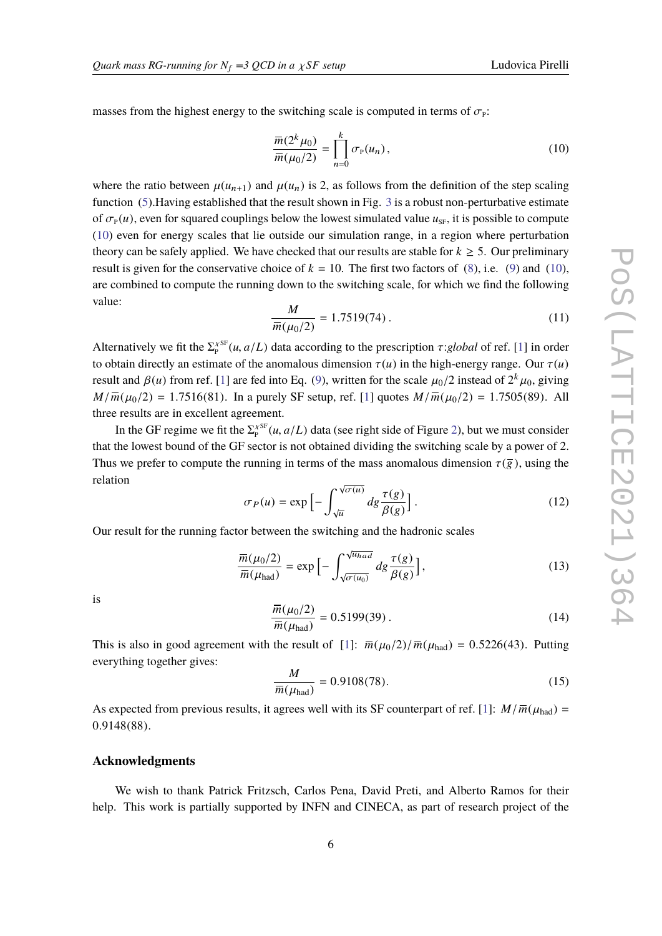masses from the highest energy to the switching scale is computed in terms of  $\sigma_p$ :

<span id="page-5-0"></span>
$$
\frac{\overline{m}(2^k \mu_0)}{\overline{m}(\mu_0/2)} = \prod_{n=0}^k \sigma_p(u_n),
$$
\n(10)

where the ratio between  $\mu(u_{n+1})$  and  $\mu(u_n)$  is 2, as follows from the definition of the step scaling function [\(5\)](#page-2-2).Having established that the result shown in Fig. [3](#page-4-1) is a robust non-perturbative estimate of  $\sigma_{P}(u)$ , even for squared couplings below the lowest simulated value  $u_{S_F}$ , it is possible to compute [\(10\)](#page-5-0) even for energy scales that lie outside our simulation range, in a region where perturbation theory can be safely applied. We have checked that our results are stable for  $k \geq 5$ . Our preliminary result is given for the conservative choice of  $k = 10$ . The first two factors of [\(8\)](#page-3-1), i.e. [\(9\)](#page-3-2) and [\(10\)](#page-5-0), are combined to compute the running down to the switching scale, for which we find the following value:

$$
\frac{M}{\overline{m}(\mu_0/2)} = 1.7519(74) \,. \tag{11}
$$

Alternatively we fit the  $\Sigma_t^{\text{SFR}}(u, a/L)$  data according to the prescription  $\tau$ :*global* of ref. [\[1\]](#page-6-0) in order to obtain directly an estimate of the anomalous dimension  $\tau(u)$  in the high-energy range. Our  $\tau(u)$ result and  $\beta(u)$  from ref. [\[1\]](#page-6-0) are fed into Eq. [\(9\)](#page-3-2), written for the scale  $\mu_0/2$  instead of  $2^k \mu_0$ , giving  $M(\overline{u}(u_1/2) - 1.7515(81)$ . In a graphy SE setting ref. [1] quotes  $M(\overline{u}(u_1/2) - 1.7505(80)$ . All  $M/\overline{m}(\mu_0/2) = 1.7516(81)$ . In a purely SF setup, ref. [\[1\]](#page-6-0) quotes  $M/\overline{m}(\mu_0/2) = 1.7505(89)$ . All three results are in excellent agreement.

In the GF regime we fit the  $\Sigma_p^{\text{XSE}}(u, a/L)$  data (see right side of Figure [2\)](#page-4-0), but we must consider the layer of 2 that the lowest bound of the GF sector is not obtained dividing the switching scale by a power of 2. Thus we prefer to compute the running in terms of the mass anomalous dimension  $\tau(\bar{g})$ , using the relation

$$
\sigma_P(u) = \exp\left[-\int_{\sqrt{u}}^{\sqrt{\sigma(u)}} dg \frac{\tau(g)}{\beta(g)}\right].
$$
 (12)

Our result for the running factor between the switching and the hadronic scales

$$
\frac{\overline{m}(\mu_0/2)}{\overline{m}(\mu_{\text{had}})} = \exp\left[-\int_{\sqrt{\sigma(u_0)}}^{\sqrt{u_{\text{had}}}} dg \frac{\tau(g)}{\beta(g)}\right],\tag{13}
$$

is

$$
\frac{\overline{m}(\mu_0/2)}{\overline{m}(\mu_{\text{had}})} = 0.5199(39). \tag{14}
$$

This is also in good agreement with the result of [\[1\]](#page-6-0):  $\overline{m}(\mu_0/2)/\overline{m}(\mu_{\text{had}}) = 0.5226(43)$ . Putting expanding together given everything together gives:

$$
\frac{M}{\overline{m}(\mu_{\text{had}})} = 0.9108(78). \tag{15}
$$

As expected from previous results, it agrees well with its SF counterpart of ref. [\[1\]](#page-6-0):  $M/\overline{m}(\mu_{\text{had}}) = 0.0148(88)$ <sup>0</sup>.9148(88).

#### **Acknowledgments**

We wish to thank Patrick Fritzsch, Carlos Pena, David Preti, and Alberto Ramos for their help. This work is partially supported by INFN and CINECA, as part of research project of the